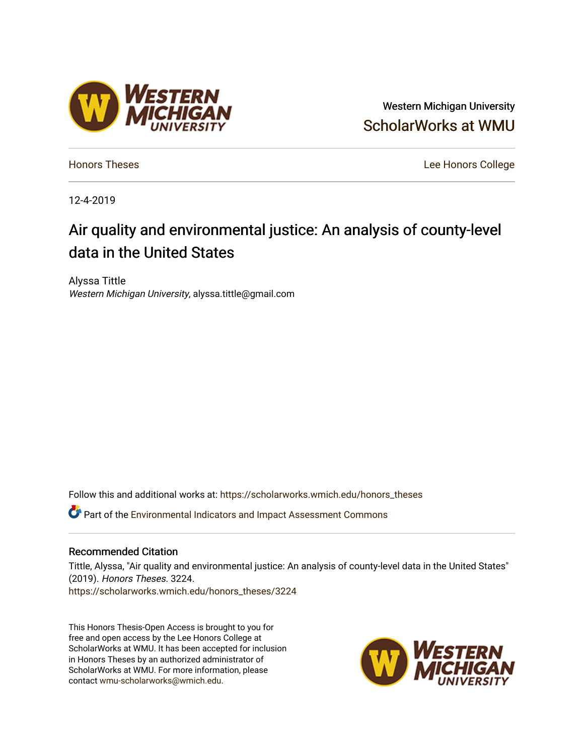# Western Michigan University [ScholarWorks at WMU](https://scholarworks.wmich.edu/)

[Honors Theses](https://scholarworks.wmich.edu/honors_theses) [Lee Honors College](https://scholarworks.wmich.edu/honors) 

12-4-2019

# Air quality and environmental justice: An analysis of county-level data in the United States

Alyssa Tittle Western Michigan University, alyssa.tittle@gmail.com

Follow this and additional works at: [https://scholarworks.wmich.edu/honors\\_theses](https://scholarworks.wmich.edu/honors_theses?utm_source=scholarworks.wmich.edu%2Fhonors_theses%2F3224&utm_medium=PDF&utm_campaign=PDFCoverPages)

Part of the [Environmental Indicators and Impact Assessment Commons](http://network.bepress.com/hgg/discipline/1015?utm_source=scholarworks.wmich.edu%2Fhonors_theses%2F3224&utm_medium=PDF&utm_campaign=PDFCoverPages) 

# Recommended Citation

Tittle, Alyssa, "Air quality and environmental justice: An analysis of county-level data in the United States" (2019). Honors Theses. 3224. [https://scholarworks.wmich.edu/honors\\_theses/3224](https://scholarworks.wmich.edu/honors_theses/3224?utm_source=scholarworks.wmich.edu%2Fhonors_theses%2F3224&utm_medium=PDF&utm_campaign=PDFCoverPages) 

This Honors Thesis-Open Access is brought to you for free and open access by the Lee Honors College at ScholarWorks at WMU. It has been accepted for inclusion in Honors Theses by an authorized administrator of ScholarWorks at WMU. For more information, please contact [wmu-scholarworks@wmich.edu](mailto:wmu-scholarworks@wmich.edu).



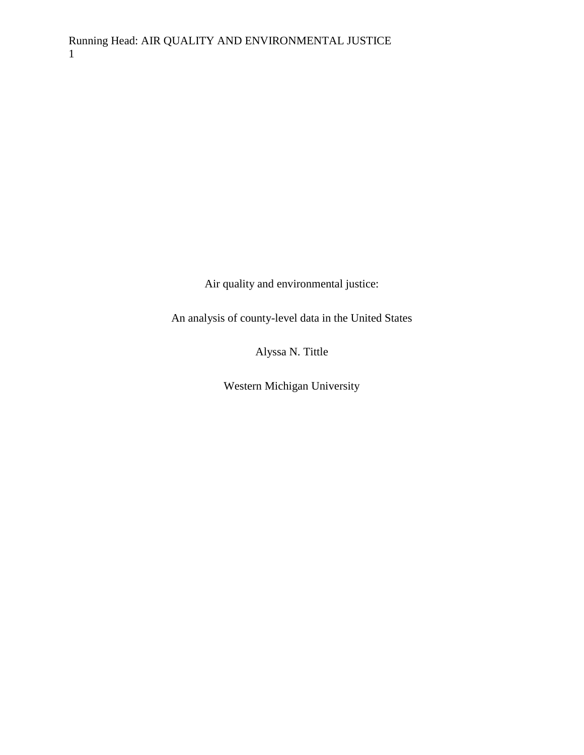Air quality and environmental justice:

An analysis of county-level data in the United States

Alyssa N. Tittle

Western Michigan University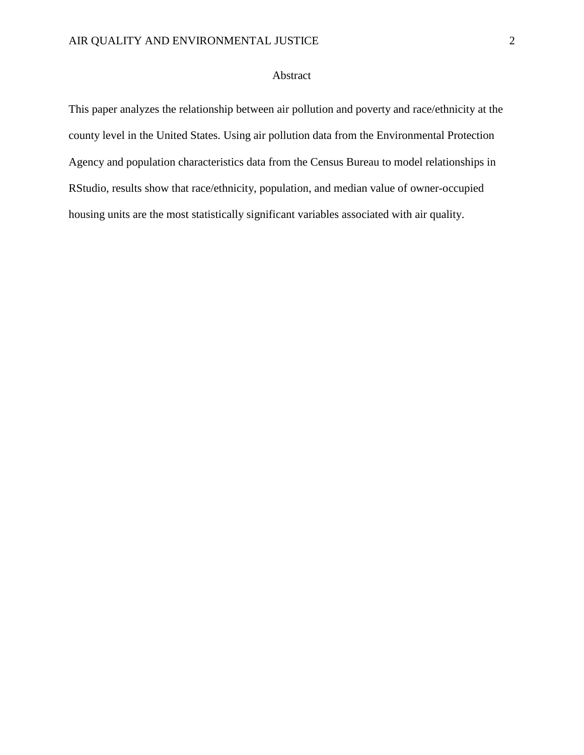# Abstract

This paper analyzes the relationship between air pollution and poverty and race/ethnicity at the county level in the United States. Using air pollution data from the Environmental Protection Agency and population characteristics data from the Census Bureau to model relationships in RStudio, results show that race/ethnicity, population, and median value of owner-occupied housing units are the most statistically significant variables associated with air quality.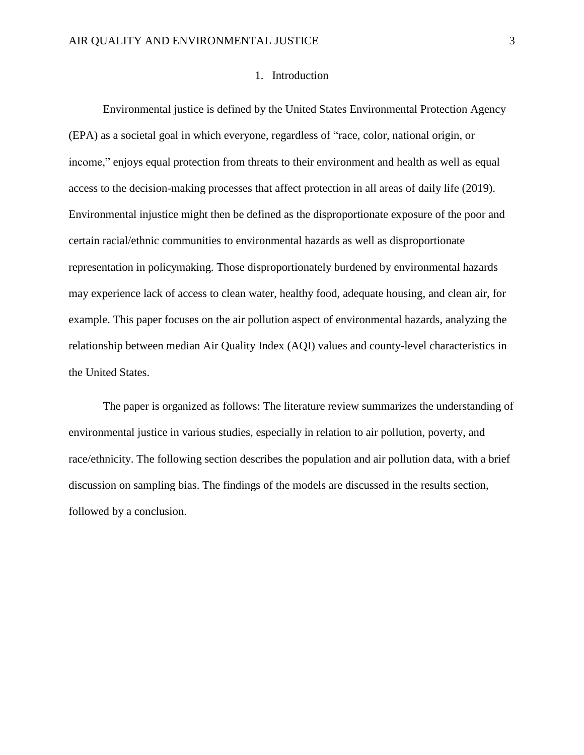# 1. Introduction

Environmental justice is defined by the United States Environmental Protection Agency (EPA) as a societal goal in which everyone, regardless of "race, color, national origin, or income," enjoys equal protection from threats to their environment and health as well as equal access to the decision-making processes that affect protection in all areas of daily life (2019). Environmental injustice might then be defined as the disproportionate exposure of the poor and certain racial/ethnic communities to environmental hazards as well as disproportionate representation in policymaking. Those disproportionately burdened by environmental hazards may experience lack of access to clean water, healthy food, adequate housing, and clean air, for example. This paper focuses on the air pollution aspect of environmental hazards, analyzing the relationship between median Air Quality Index (AQI) values and county-level characteristics in the United States.

The paper is organized as follows: The literature review summarizes the understanding of environmental justice in various studies, especially in relation to air pollution, poverty, and race/ethnicity. The following section describes the population and air pollution data, with a brief discussion on sampling bias. The findings of the models are discussed in the results section, followed by a conclusion.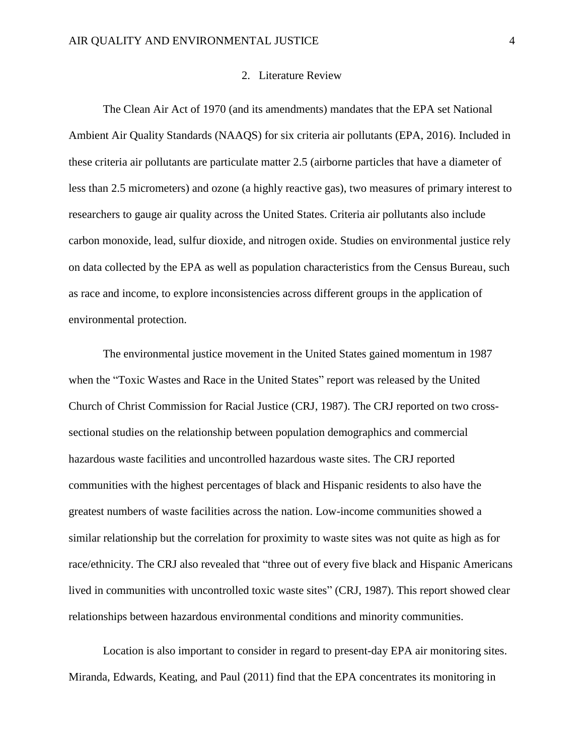#### 2. Literature Review

The Clean Air Act of 1970 (and its amendments) mandates that the EPA set National Ambient Air Quality Standards (NAAQS) for six criteria air pollutants (EPA, 2016). Included in these criteria air pollutants are particulate matter 2.5 (airborne particles that have a diameter of less than 2.5 micrometers) and ozone (a highly reactive gas), two measures of primary interest to researchers to gauge air quality across the United States. Criteria air pollutants also include carbon monoxide, lead, sulfur dioxide, and nitrogen oxide. Studies on environmental justice rely on data collected by the EPA as well as population characteristics from the Census Bureau, such as race and income, to explore inconsistencies across different groups in the application of environmental protection.

The environmental justice movement in the United States gained momentum in 1987 when the "Toxic Wastes and Race in the United States" report was released by the United Church of Christ Commission for Racial Justice (CRJ, 1987). The CRJ reported on two crosssectional studies on the relationship between population demographics and commercial hazardous waste facilities and uncontrolled hazardous waste sites. The CRJ reported communities with the highest percentages of black and Hispanic residents to also have the greatest numbers of waste facilities across the nation. Low-income communities showed a similar relationship but the correlation for proximity to waste sites was not quite as high as for race/ethnicity. The CRJ also revealed that "three out of every five black and Hispanic Americans lived in communities with uncontrolled toxic waste sites" (CRJ, 1987). This report showed clear relationships between hazardous environmental conditions and minority communities.

Location is also important to consider in regard to present-day EPA air monitoring sites. Miranda, Edwards, Keating, and Paul (2011) find that the EPA concentrates its monitoring in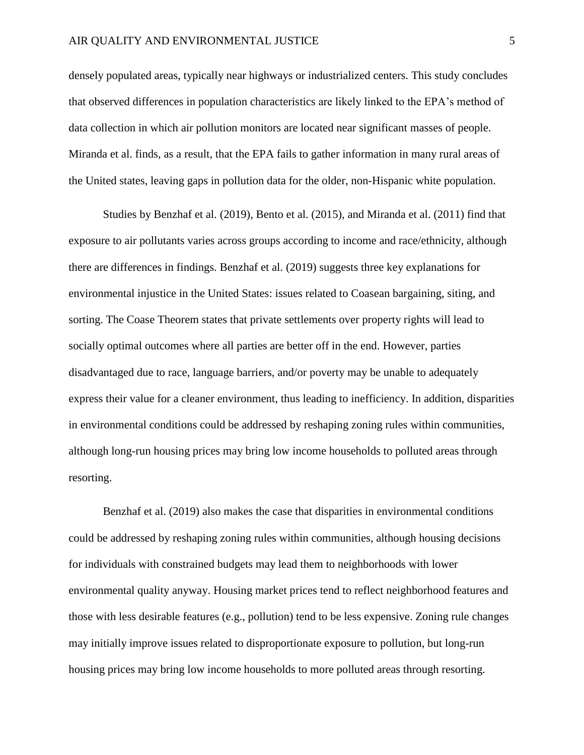densely populated areas, typically near highways or industrialized centers. This study concludes that observed differences in population characteristics are likely linked to the EPA's method of data collection in which air pollution monitors are located near significant masses of people. Miranda et al. finds, as a result, that the EPA fails to gather information in many rural areas of the United states, leaving gaps in pollution data for the older, non-Hispanic white population.

Studies by Benzhaf et al. (2019), Bento et al. (2015), and Miranda et al. (2011) find that exposure to air pollutants varies across groups according to income and race/ethnicity, although there are differences in findings. Benzhaf et al. (2019) suggests three key explanations for environmental injustice in the United States: issues related to Coasean bargaining, siting, and sorting. The Coase Theorem states that private settlements over property rights will lead to socially optimal outcomes where all parties are better off in the end. However, parties disadvantaged due to race, language barriers, and/or poverty may be unable to adequately express their value for a cleaner environment, thus leading to inefficiency. In addition, disparities in environmental conditions could be addressed by reshaping zoning rules within communities, although long-run housing prices may bring low income households to polluted areas through resorting.

Benzhaf et al. (2019) also makes the case that disparities in environmental conditions could be addressed by reshaping zoning rules within communities, although housing decisions for individuals with constrained budgets may lead them to neighborhoods with lower environmental quality anyway. Housing market prices tend to reflect neighborhood features and those with less desirable features (e.g., pollution) tend to be less expensive. Zoning rule changes may initially improve issues related to disproportionate exposure to pollution, but long-run housing prices may bring low income households to more polluted areas through resorting.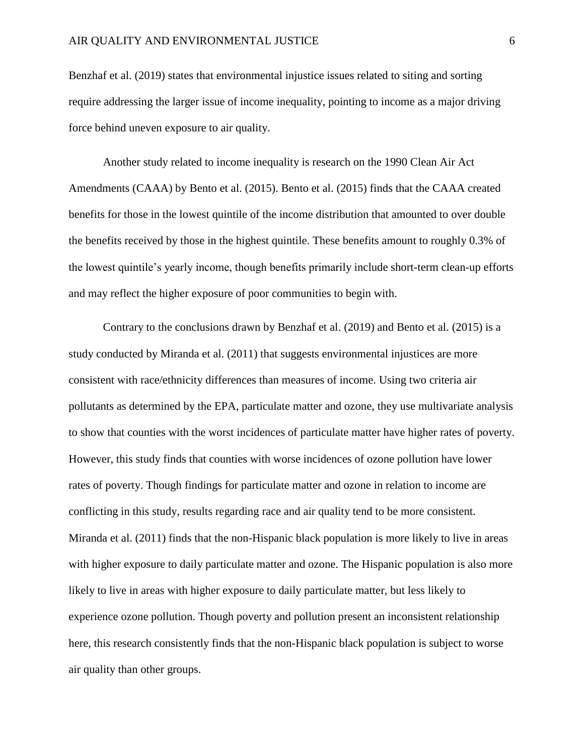Benzhaf et al. (2019) states that environmental injustice issues related to siting and sorting require addressing the larger issue of income inequality, pointing to income as a major driving force behind uneven exposure to air quality.

Another study related to income inequality is research on the 1990 Clean Air Act Amendments (CAAA) by Bento et al. (2015). Bento et al. (2015) finds that the CAAA created benefits for those in the lowest quintile of the income distribution that amounted to over double the benefits received by those in the highest quintile. These benefits amount to roughly 0.3% of the lowest quintile's yearly income, though benefits primarily include short-term clean-up efforts and may reflect the higher exposure of poor communities to begin with.

Contrary to the conclusions drawn by Benzhaf et al. (2019) and Bento et al. (2015) is a study conducted by Miranda et al. (2011) that suggests environmental injustices are more consistent with race/ethnicity differences than measures of income. Using two criteria air pollutants as determined by the EPA, particulate matter and ozone, they use multivariate analysis to show that counties with the worst incidences of particulate matter have higher rates of poverty. However, this study finds that counties with worse incidences of ozone pollution have lower rates of poverty. Though findings for particulate matter and ozone in relation to income are conflicting in this study, results regarding race and air quality tend to be more consistent. Miranda et al. (2011) finds that the non-Hispanic black population is more likely to live in areas with higher exposure to daily particulate matter and ozone. The Hispanic population is also more likely to live in areas with higher exposure to daily particulate matter, but less likely to experience ozone pollution. Though poverty and pollution present an inconsistent relationship here, this research consistently finds that the non-Hispanic black population is subject to worse air quality than other groups.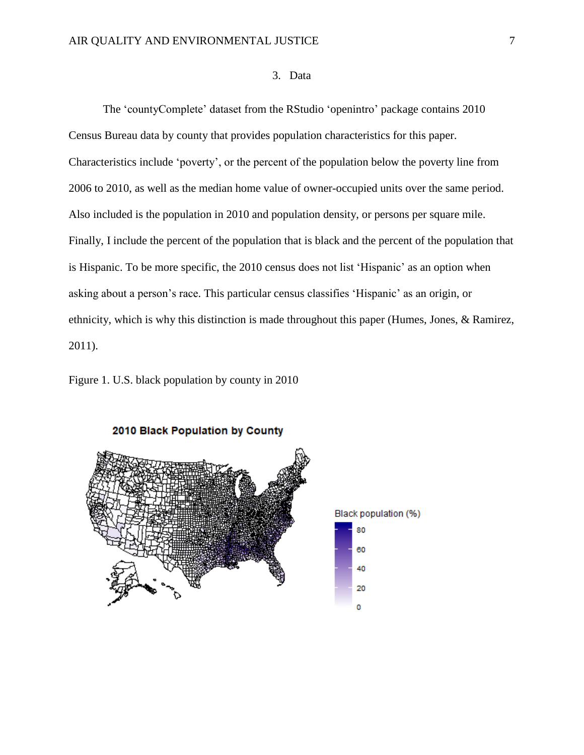# 3. Data

The 'countyComplete' dataset from the RStudio 'openintro' package contains 2010 Census Bureau data by county that provides population characteristics for this paper. Characteristics include 'poverty', or the percent of the population below the poverty line from 2006 to 2010, as well as the median home value of owner-occupied units over the same period. Also included is the population in 2010 and population density, or persons per square mile. Finally, I include the percent of the population that is black and the percent of the population that is Hispanic. To be more specific, the 2010 census does not list 'Hispanic' as an option when asking about a person's race. This particular census classifies 'Hispanic' as an origin, or ethnicity, which is why this distinction is made throughout this paper (Humes, Jones, & Ramirez, 2011).

Figure 1. U.S. black population by county in 2010



2010 Black Population by County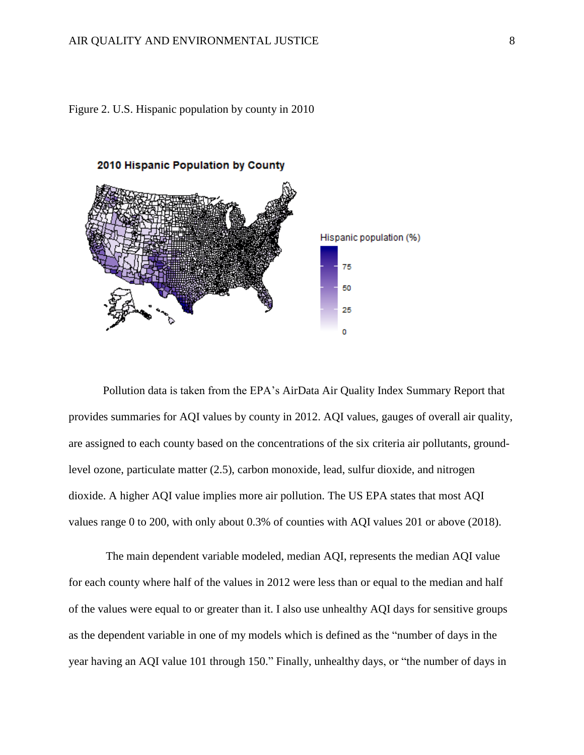



Pollution data is taken from the EPA's AirData Air Quality Index Summary Report that provides summaries for AQI values by county in 2012. AQI values, gauges of overall air quality, are assigned to each county based on the concentrations of the six criteria air pollutants, groundlevel ozone, particulate matter (2.5), carbon monoxide, lead, sulfur dioxide, and nitrogen dioxide. A higher AQI value implies more air pollution. The US EPA states that most AQI values range 0 to 200, with only about 0.3% of counties with AQI values 201 or above (2018).

The main dependent variable modeled, median AQI, represents the median AQI value for each county where half of the values in 2012 were less than or equal to the median and half of the values were equal to or greater than it. I also use unhealthy AQI days for sensitive groups as the dependent variable in one of my models which is defined as the "number of days in the year having an AQI value 101 through 150." Finally, unhealthy days, or "the number of days in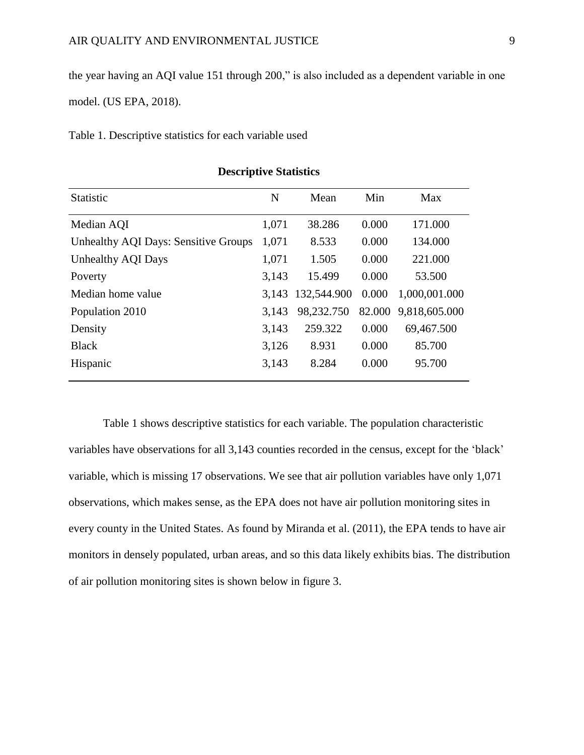the year having an AQI value 151 through 200," is also included as a dependent variable in one model. (US EPA, 2018).

Table 1. Descriptive statistics for each variable used

| <b>Statistic</b>                            | N     | Mean        | Min    | Max           |
|---------------------------------------------|-------|-------------|--------|---------------|
| Median AQI                                  | 1,071 | 38.286      | 0.000  | 171.000       |
| <b>Unhealthy AQI Days: Sensitive Groups</b> | 1,071 | 8.533       | 0.000  | 134.000       |
| Unhealthy AQI Days                          | 1,071 | 1.505       | 0.000  | 221.000       |
| Poverty                                     | 3,143 | 15.499      | 0.000  | 53.500        |
| Median home value                           | 3,143 | 132,544.900 | 0.000  | 1,000,001.000 |
| Population 2010                             | 3,143 | 98,232.750  | 82.000 | 9,818,605.000 |
| Density                                     | 3,143 | 259.322     | 0.000  | 69,467.500    |
| <b>Black</b>                                | 3,126 | 8.931       | 0.000  | 85.700        |
| Hispanic                                    | 3,143 | 8.284       | 0.000  | 95.700        |

#### **Descriptive Statistics**

Table 1 shows descriptive statistics for each variable. The population characteristic variables have observations for all 3,143 counties recorded in the census, except for the 'black' variable, which is missing 17 observations. We see that air pollution variables have only 1,071 observations, which makes sense, as the EPA does not have air pollution monitoring sites in every county in the United States. As found by Miranda et al. (2011), the EPA tends to have air monitors in densely populated, urban areas, and so this data likely exhibits bias. The distribution of air pollution monitoring sites is shown below in figure 3.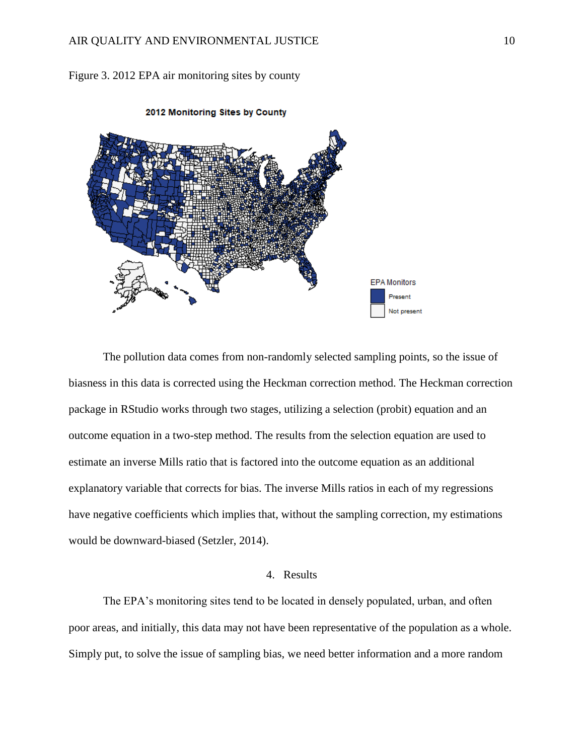

Figure 3. 2012 EPA air monitoring sites by county

The pollution data comes from non-randomly selected sampling points, so the issue of biasness in this data is corrected using the Heckman correction method. The Heckman correction package in RStudio works through two stages, utilizing a selection (probit) equation and an outcome equation in a two-step method. The results from the selection equation are used to estimate an inverse Mills ratio that is factored into the outcome equation as an additional explanatory variable that corrects for bias. The inverse Mills ratios in each of my regressions have negative coefficients which implies that, without the sampling correction, my estimations would be downward-biased (Setzler, 2014).

# 4. Results

The EPA's monitoring sites tend to be located in densely populated, urban, and often poor areas, and initially, this data may not have been representative of the population as a whole. Simply put, to solve the issue of sampling bias, we need better information and a more random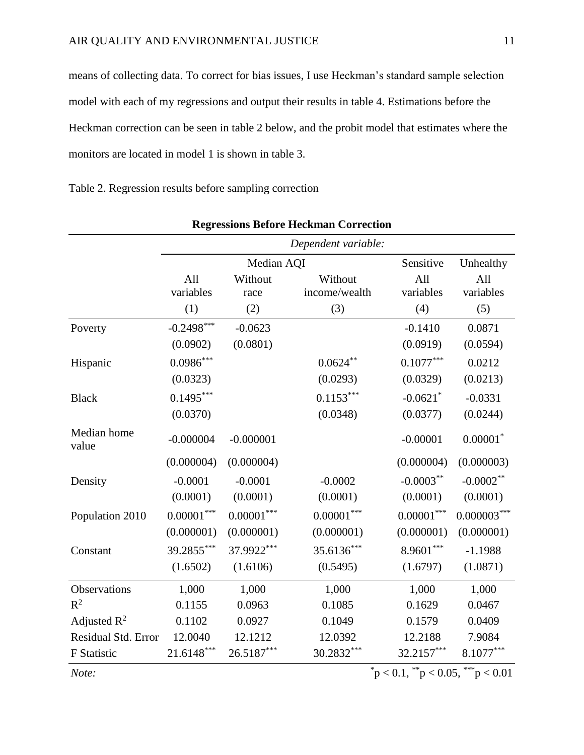means of collecting data. To correct for bias issues, I use Heckman's standard sample selection model with each of my regressions and output their results in table 4. Estimations before the Heckman correction can be seen in table 2 below, and the probit model that estimates where the monitors are located in model 1 is shown in table 3.

Table 2. Regression results before sampling correction

|                      | Dependent variable:     |                   |                          |                                                 |                  |
|----------------------|-------------------------|-------------------|--------------------------|-------------------------------------------------|------------------|
|                      |                         | Median AQI        | Sensitive                | Unhealthy                                       |                  |
|                      | All<br>variables        | Without<br>race   | Without<br>income/wealth | All<br>variables                                | All<br>variables |
|                      | (1)                     | (2)               | (3)                      | (4)                                             | (5)              |
| Poverty              | $-0.2498***$            | $-0.0623$         |                          | $-0.1410$                                       | 0.0871           |
|                      | (0.0902)                | (0.0801)          |                          | (0.0919)                                        | (0.0594)         |
| Hispanic             | $0.0986^{\ast\ast\ast}$ |                   | $0.0624***$              | $0.1077***$                                     | 0.0212           |
|                      | (0.0323)                |                   | (0.0293)                 | (0.0329)                                        | (0.0213)         |
| <b>Black</b>         | $0.1495***$             |                   | $0.1153***$              | $-0.0621$ *                                     | $-0.0331$        |
|                      | (0.0370)                |                   | (0.0348)                 | (0.0377)                                        | (0.0244)         |
| Median home<br>value | $-0.000004$             | $-0.000001$       |                          | $-0.00001$                                      | $0.00001*$       |
|                      | (0.000004)              | (0.000004)        |                          | (0.000004)                                      | (0.000003)       |
| Density              | $-0.0001$               | $-0.0001$         | $-0.0002$                | $-0.0003***$                                    | $-0.0002**$      |
|                      | (0.0001)                | (0.0001)          | (0.0001)                 | (0.0001)                                        | (0.0001)         |
| Population 2010      | $0.00001^{***}$         | $0.00001^{***}\,$ | $0.00001***$             | $0.00001***$                                    | $0.000003***$    |
|                      | (0.000001)              | (0.000001)        | (0.000001)               | (0.000001)                                      | (0.000001)       |
| Constant             | 39.2855***              | 37.9922***        | 35.6136***               | $8.9601***$                                     | $-1.1988$        |
|                      | (1.6502)                | (1.6106)          | (0.5495)                 | (1.6797)                                        | (1.0871)         |
| Observations         | 1,000                   | 1,000             | 1,000                    | 1,000                                           | 1,000            |
| $R^2$                | 0.1155                  | 0.0963            | 0.1085                   | 0.1629                                          | 0.0467           |
| Adjusted $R^2$       | 0.1102                  | 0.0927            | 0.1049                   | 0.1579                                          | 0.0409           |
| Residual Std. Error  | 12.0040                 | 12.1212           | 12.0392                  | 12.2188                                         | 7.9084           |
| F Statistic          | $21.6148***$            | 26.5187***        | 30.2832***               | 32.2157***                                      | 8.1077***        |
| Note:                |                         |                   |                          | $p^*$ $> 0.1$ , $p^*$ $> 0.05$ , $p^*$ $> 0.01$ |                  |

**Regressions Before Heckman Correction**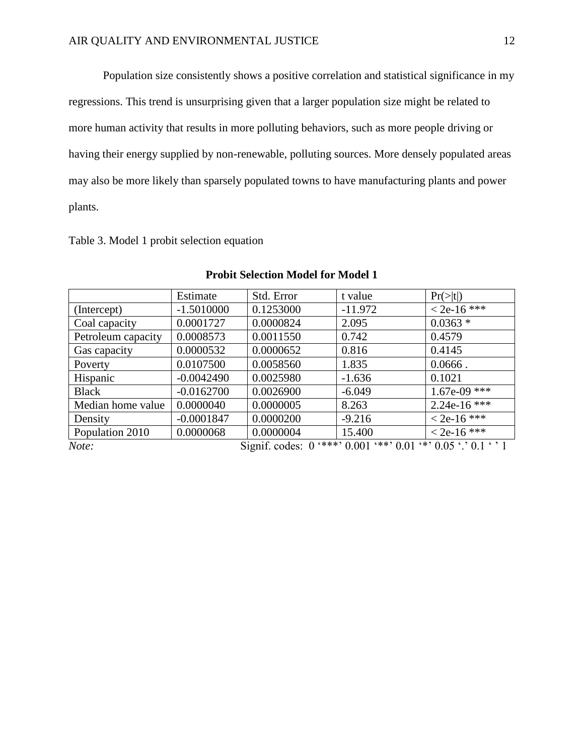Population size consistently shows a positive correlation and statistical significance in my regressions. This trend is unsurprising given that a larger population size might be related to more human activity that results in more polluting behaviors, such as more people driving or having their energy supplied by non-renewable, polluting sources. More densely populated areas may also be more likely than sparsely populated towns to have manufacturing plants and power plants.

|  |  | Table 3. Model 1 probit selection equation |  |
|--|--|--------------------------------------------|--|
|--|--|--------------------------------------------|--|

|                    | Estimate     | Std. Error                                                             | t value   | $Pr(>\vert t \vert)$ |
|--------------------|--------------|------------------------------------------------------------------------|-----------|----------------------|
| (Intercept)        | $-1.5010000$ | 0.1253000                                                              | $-11.972$ | $< 2e-16$ ***        |
| Coal capacity      | 0.0001727    | 0.0000824                                                              | 2.095     | $0.0363*$            |
| Petroleum capacity | 0.0008573    | 0.0011550                                                              | 0.742     | 0.4579               |
| Gas capacity       | 0.0000532    | 0.0000652                                                              | 0.816     | 0.4145               |
| Poverty            | 0.0107500    | 0.0058560                                                              | 1.835     | $0.0666$ .           |
| Hispanic           | $-0.0042490$ | 0.0025980                                                              | $-1.636$  | 0.1021               |
| <b>Black</b>       | $-0.0162700$ | 0.0026900                                                              | $-6.049$  | $1.67e-09$ ***       |
| Median home value  | 0.0000040    | 0.0000005                                                              | 8.263     | $2.24e-16$ ***       |
| Density            | $-0.0001847$ | 0.0000200                                                              | $-9.216$  | $<$ 2e-16 ***        |
| Population 2010    | 0.0000068    | 0.0000004                                                              | 15.400    | $< 2e-16$ ***        |
| Note:              |              | Signif. codes: $0$ '***' $0.001$ '**' $0.01$ '*' $0.05$ '.' $0.1$ '' 1 |           |                      |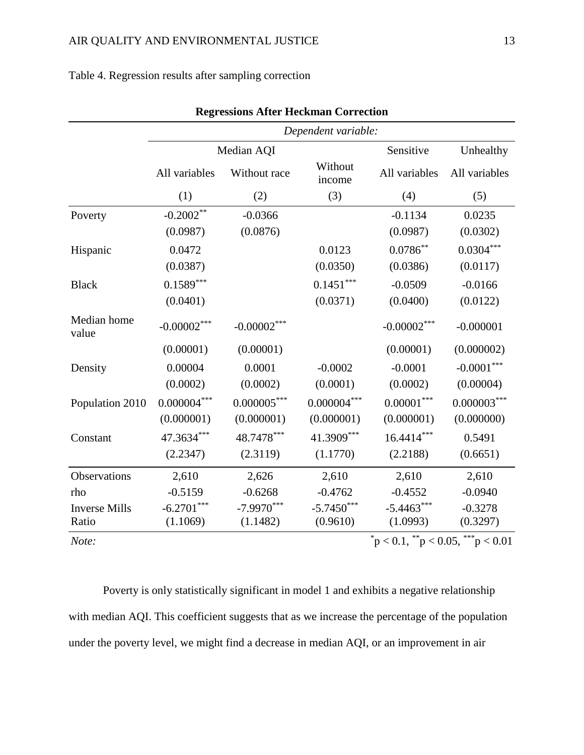# Table 4. Regression results after sampling correction

|                      | Dependent variable:           |               |                   |                                                                   |                            |  |
|----------------------|-------------------------------|---------------|-------------------|-------------------------------------------------------------------|----------------------------|--|
|                      |                               | Median AQI    |                   | Sensitive                                                         |                            |  |
|                      | All variables<br>Without race |               | Without<br>income | All variables                                                     | Unhealthy<br>All variables |  |
|                      | (1)                           | (2)           | (3)               | (4)                                                               | (5)                        |  |
| Poverty              | $-0.2002**$                   | $-0.0366$     |                   | $-0.1134$                                                         | 0.0235                     |  |
|                      | (0.0987)                      | (0.0876)      |                   | (0.0987)                                                          | (0.0302)                   |  |
| Hispanic             | 0.0472                        |               | 0.0123            | $0.0786**$                                                        | $0.0304***$                |  |
|                      | (0.0387)                      |               | (0.0350)          | (0.0386)                                                          | (0.0117)                   |  |
| <b>Black</b>         | $0.1589***$                   |               | $0.1451***$       | $-0.0509$                                                         | $-0.0166$                  |  |
|                      | (0.0401)                      |               | (0.0371)          | (0.0400)                                                          | (0.0122)                   |  |
| Median home<br>value | $-0.00002***$                 | $-0.00002***$ |                   | $-0.00002***$                                                     | $-0.000001$                |  |
|                      | (0.00001)                     | (0.00001)     |                   | (0.00001)                                                         | (0.000002)                 |  |
| Density              | 0.00004                       | 0.0001        | $-0.0002$         | $-0.0001$                                                         | $-0.0001***$               |  |
|                      | (0.0002)                      | (0.0002)      | (0.0001)          | (0.0002)                                                          | (0.00004)                  |  |
| Population 2010      | $0.000004^{***}\,$            | $0.000005***$ | $0.000004***$     | $0.00001***$                                                      | $0.000003***$              |  |
|                      | (0.000001)                    | (0.000001)    | (0.000001)        | (0.000001)                                                        | (0.000000)                 |  |
| Constant             | 47.3634***                    | 48.7478***    | 41.3909***        | $16.4414***$                                                      | 0.5491                     |  |
|                      | (2.2347)                      | (2.3119)      | (1.1770)          | (2.2188)                                                          | (0.6651)                   |  |
| Observations         | 2,610                         | 2,626         | 2,610             | 2,610                                                             | 2,610                      |  |
| rho                  | $-0.5159$                     | $-0.6268$     | $-0.4762$         | $-0.4552$                                                         | $-0.0940$                  |  |
| <b>Inverse Mills</b> | $-6.2701***$                  | $-7.9970***$  | $-5.7450***$      | $-5.4463***$                                                      | $-0.3278$                  |  |
| Ratio                | (1.1069)                      | (1.1482)      | (0.9610)          | (1.0993)<br>$p^*$ $p < 0.1$ , $p^*$ $p < 0.05$ , $p^*$ $p < 0.01$ | (0.3297)                   |  |

|  | <b>Regressions After Heckman Correction</b> |  |  |  |
|--|---------------------------------------------|--|--|--|
|--|---------------------------------------------|--|--|--|

Poverty is only statistically significant in model 1 and exhibits a negative relationship with median AQI. This coefficient suggests that as we increase the percentage of the population under the poverty level, we might find a decrease in median AQI, or an improvement in air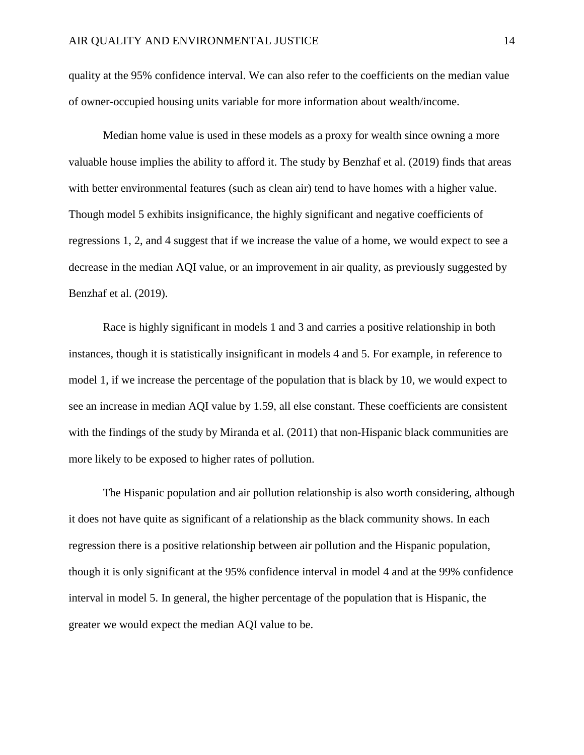quality at the 95% confidence interval. We can also refer to the coefficients on the median value of owner-occupied housing units variable for more information about wealth/income.

Median home value is used in these models as a proxy for wealth since owning a more valuable house implies the ability to afford it. The study by Benzhaf et al. (2019) finds that areas with better environmental features (such as clean air) tend to have homes with a higher value. Though model 5 exhibits insignificance, the highly significant and negative coefficients of regressions 1, 2, and 4 suggest that if we increase the value of a home, we would expect to see a decrease in the median AQI value, or an improvement in air quality, as previously suggested by Benzhaf et al. (2019).

Race is highly significant in models 1 and 3 and carries a positive relationship in both instances, though it is statistically insignificant in models 4 and 5. For example, in reference to model 1, if we increase the percentage of the population that is black by 10, we would expect to see an increase in median AQI value by 1.59, all else constant. These coefficients are consistent with the findings of the study by Miranda et al. (2011) that non-Hispanic black communities are more likely to be exposed to higher rates of pollution.

The Hispanic population and air pollution relationship is also worth considering, although it does not have quite as significant of a relationship as the black community shows. In each regression there is a positive relationship between air pollution and the Hispanic population, though it is only significant at the 95% confidence interval in model 4 and at the 99% confidence interval in model 5. In general, the higher percentage of the population that is Hispanic, the greater we would expect the median AQI value to be.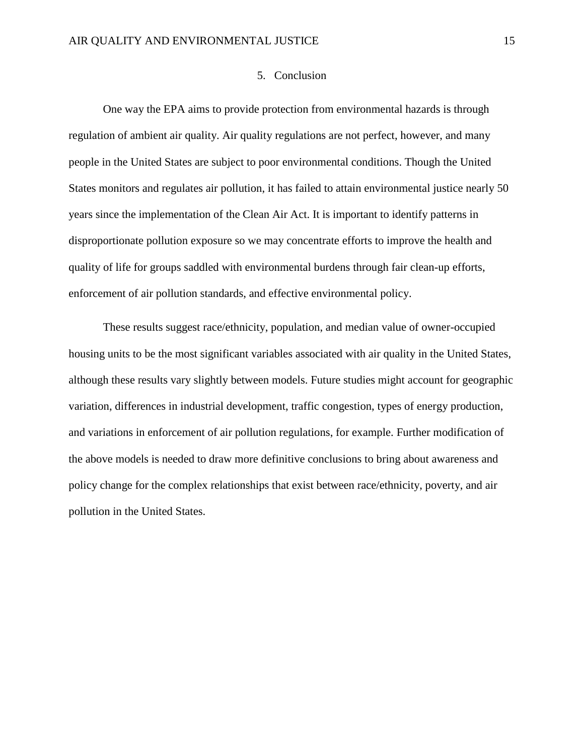# 5. Conclusion

One way the EPA aims to provide protection from environmental hazards is through regulation of ambient air quality. Air quality regulations are not perfect, however, and many people in the United States are subject to poor environmental conditions. Though the United States monitors and regulates air pollution, it has failed to attain environmental justice nearly 50 years since the implementation of the Clean Air Act. It is important to identify patterns in disproportionate pollution exposure so we may concentrate efforts to improve the health and quality of life for groups saddled with environmental burdens through fair clean-up efforts, enforcement of air pollution standards, and effective environmental policy.

These results suggest race/ethnicity, population, and median value of owner-occupied housing units to be the most significant variables associated with air quality in the United States, although these results vary slightly between models. Future studies might account for geographic variation, differences in industrial development, traffic congestion, types of energy production, and variations in enforcement of air pollution regulations, for example. Further modification of the above models is needed to draw more definitive conclusions to bring about awareness and policy change for the complex relationships that exist between race/ethnicity, poverty, and air pollution in the United States.